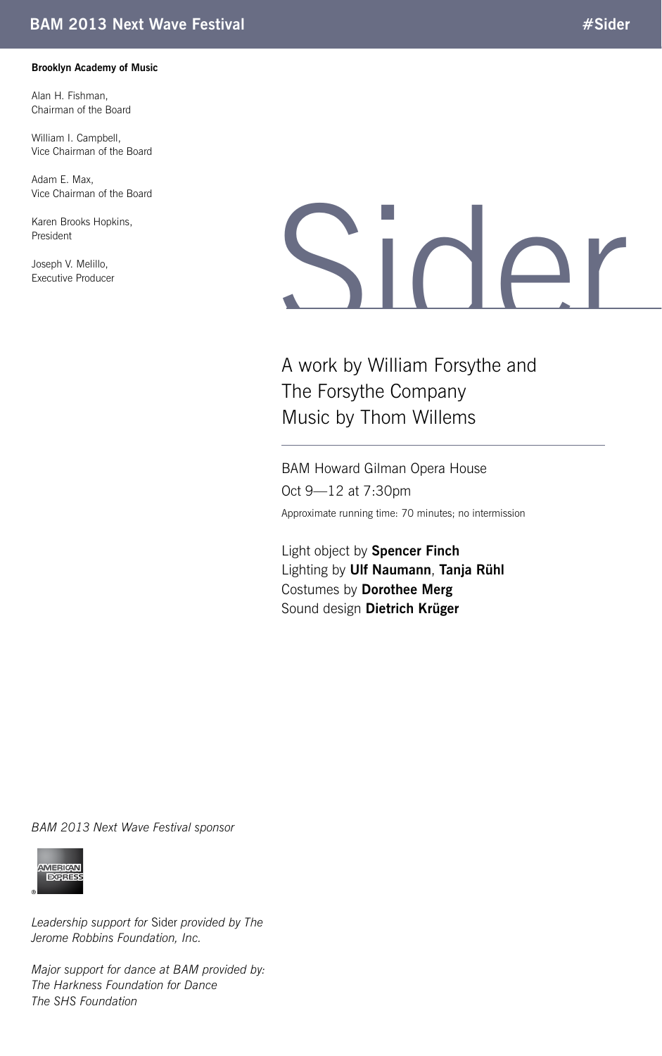#### **Brooklyn Academy of Music**

Alan H. Fishman, Chairman of the Board

William I. Campbell, Vice Chairman of the Board

Adam E. Max, Vice Chairman of the Board

Karen Brooks Hopkins, President

Joseph V. Melillo,

# Vice Chairman of the Board<br>Karen Brooks Hopkins,<br>President<br>Executive Producer

A work by William Forsythe and The Forsythe Company Music by Thom Willems

BAM Howard Gilman Opera House Oct 9—12 at 7:30pm Approximate running time: 70 minutes; no intermission

Light object by **Spencer Finch** Lighting by **Ulf Naumann**, **Tanja Rühl** Costumes by **Dorothee Merg** Sound design **Dietrich Krüger**

*BAM 2013 Next Wave Festival sponsor*



*Leadership support for* Sider *provided by The Jerome Robbins Foundation, Inc.*

*Major support for dance at BAM provided by: The Harkness Foundation for Dance The SHS Foundation*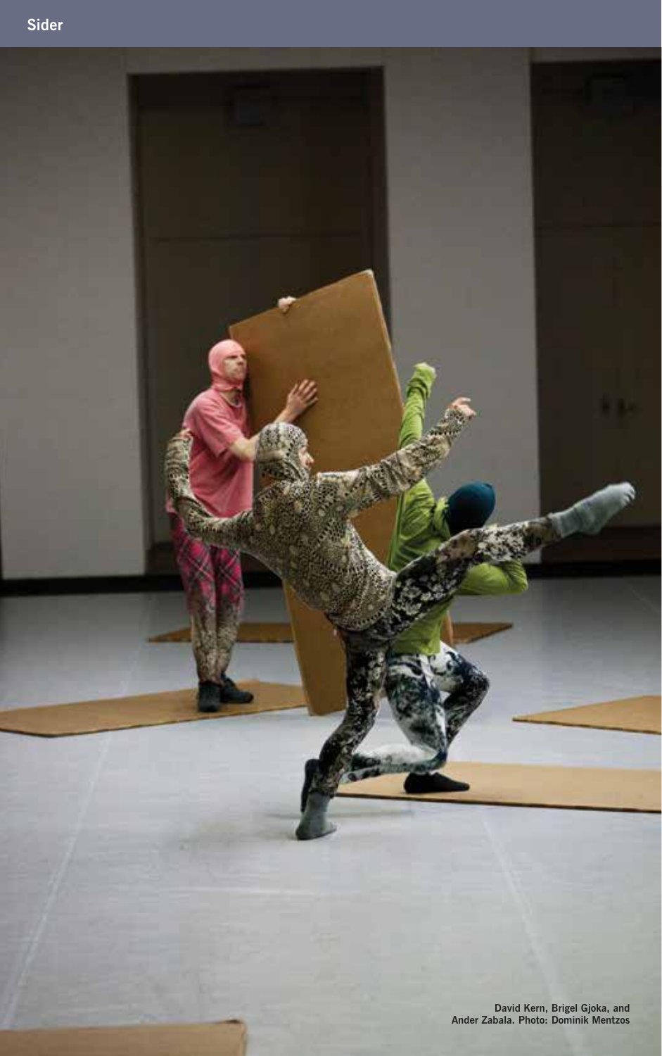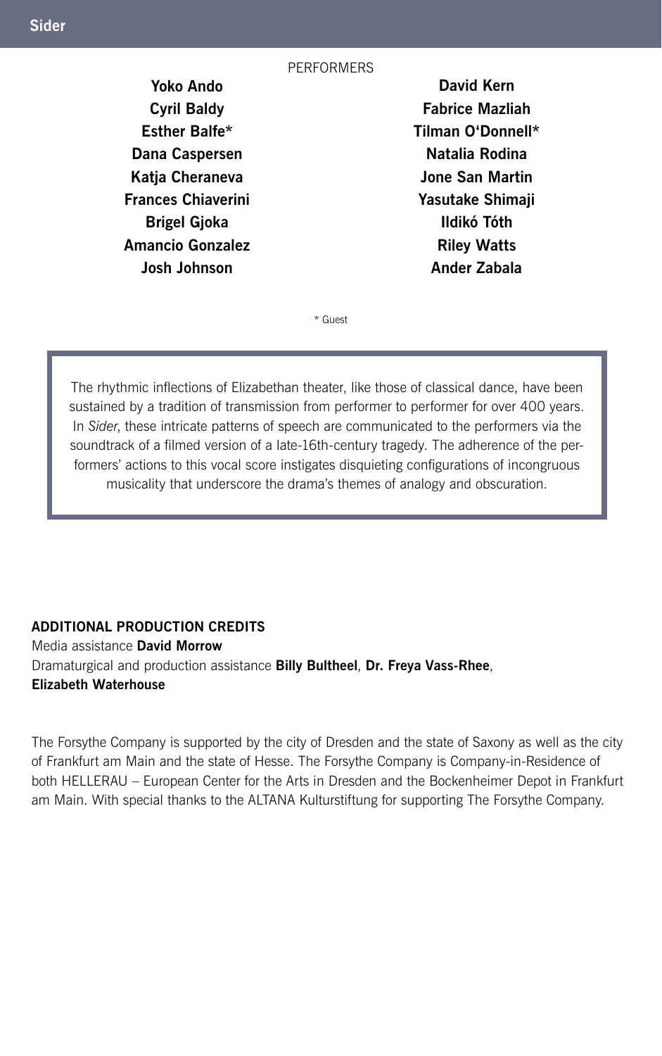#### **PERFORMERS**

**Yoko Ando Cyril Baldy Esther Balfe\* Dana Caspersen Katja Cheraneva Frances Chiaverini Brigel Gjoka Amancio Gonzalez Josh Johnson** 

**David Kern Fabrice Mazliah Tilman O'Donnell\* Natalia Rodina Jone San Martin Yasutake Shimaji Ildikó Tóth Riley Watts Ander Zabala**

\* Guest

The rhythmic inflections of Elizabethan theater, like those of classical dance, have been sustained by a tradition of transmission from performer to performer for over 400 years. In *Sider*, these intricate patterns of speech are communicated to the performers via the soundtrack of a filmed version of a late-16th-century tragedy. The adherence of the performers' actions to this vocal score instigates disquieting configurations of incongruous musicality that underscore the drama's themes of analogy and obscuration.

### **ADDITIONAL Production CREDITS**

Media assistance **David Morrow**  Dramaturgical and production assistance **Billy Bultheel**, **Dr. Freya Vass-Rhee**, **Elizabeth Waterhouse**

The Forsythe Company is supported by the city of Dresden and the state of Saxony as well as the city of Frankfurt am Main and the state of Hesse. The Forsythe Company is Company-in-Residence of both HELLERAU – European Center for the Arts in Dresden and the Bockenheimer Depot in Frankfurt am Main. With special thanks to the ALTANA Kulturstiftung for supporting The Forsythe Company.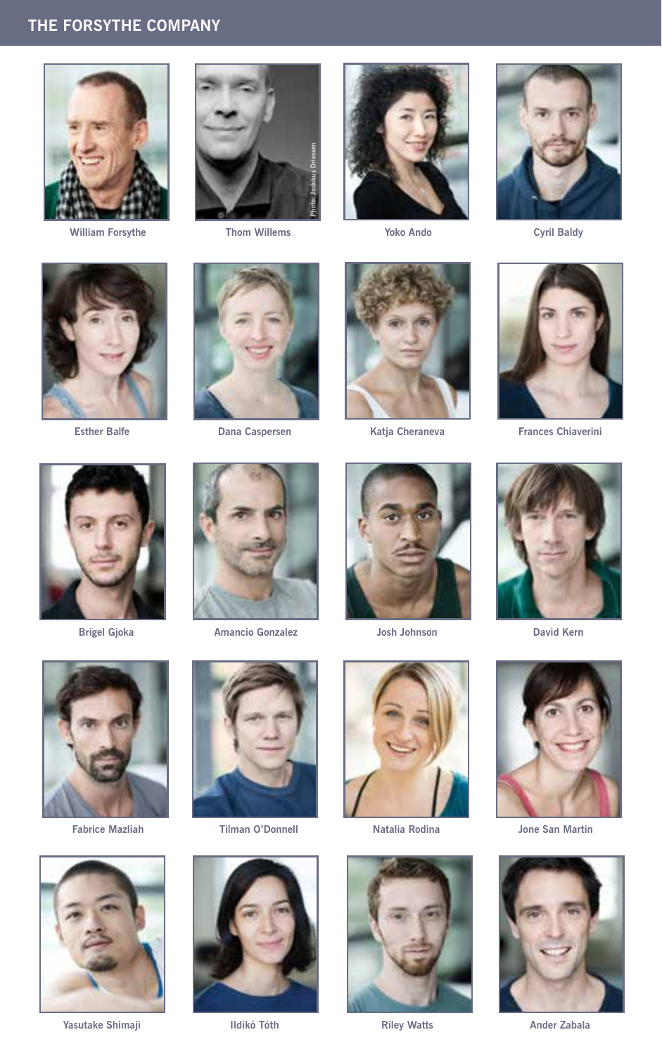# **THE FORSYTHE COMPANY**



**William Forsythe Thom Willems Yoko Ando Cyril Baldy**











**Esther Balfe Dana Caspersen Katja Cheraneva Frances Chiaverini**









 **Brigel Gjoka Amancio Gonzalez Josh Johnson David Kern**









**Yasutake Shimaji Ildikó Tóth Riley Watts Ander Zabala**











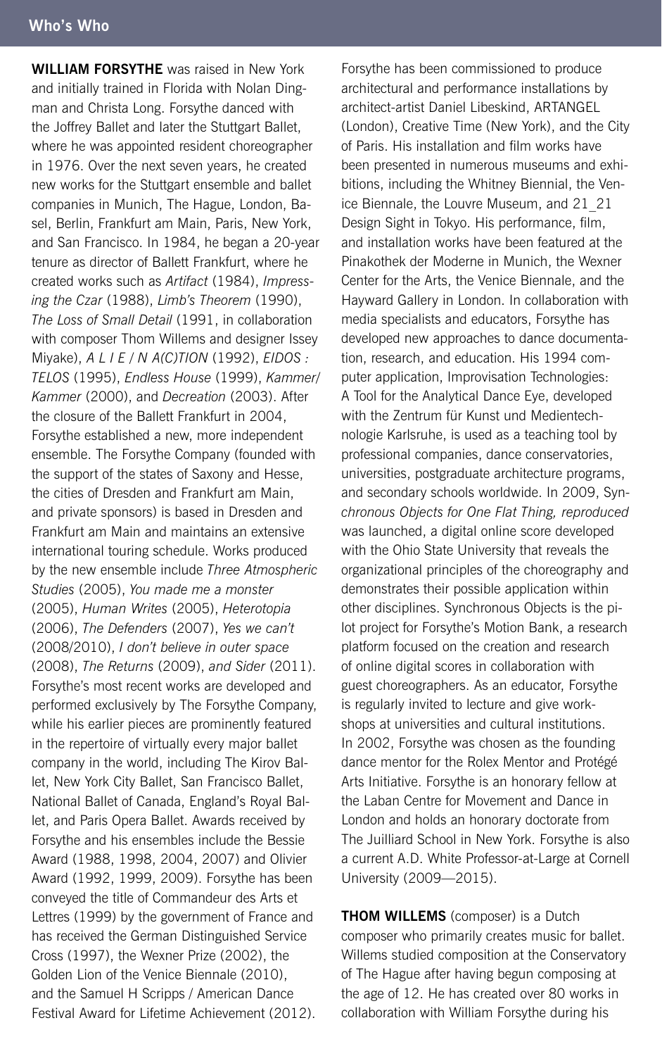**WILLIAM FORSYTHE** was raised in New York and initially trained in Florida with Nolan Dingman and Christa Long. Forsythe danced with the Joffrey Ballet and later the Stuttgart Ballet, where he was appointed resident choreographer in 1976. Over the next seven years, he created new works for the Stuttgart ensemble and ballet companies in Munich, The Hague, London, Basel, Berlin, Frankfurt am Main, Paris, New York, and San Francisco. In 1984, he began a 20-year tenure as director of Ballett Frankfurt, where he created works such as *Artifact* (1984), *Impressing the Czar* (1988), *Limb's Theorem* (1990), *The Loss of Small Detail* (1991, in collaboration with composer Thom Willems and designer Issey Miyake), *A L I E / N A(C)TION* (1992), *EIDOS : TELOS* (1995), *Endless House* (1999), *Kammer/ Kammer* (2000), and *Decreation* (2003). After the closure of the Ballett Frankfurt in 2004, Forsythe established a new, more independent ensemble. The Forsythe Company (founded with the support of the states of Saxony and Hesse, the cities of Dresden and Frankfurt am Main, and private sponsors) is based in Dresden and Frankfurt am Main and maintains an extensive international touring schedule. Works produced by the new ensemble include *Three Atmospheric Studies* (2005), *You made me a monster*  (2005), *Human Writes* (2005), *Heterotopia*  (2006), *The Defenders* (2007), *Yes we can't*  (2008/2010), *I don't believe in outer space*  (2008), *The Returns* (2009), *and Sider* (2011). Forsythe's most recent works are developed and performed exclusively by The Forsythe Company, while his earlier pieces are prominently featured in the repertoire of virtually every major ballet company in the world, including The Kirov Ballet, New York City Ballet, San Francisco Ballet, National Ballet of Canada, England's Royal Ballet, and Paris Opera Ballet. Awards received by Forsythe and his ensembles include the Bessie Award (1988, 1998, 2004, 2007) and Olivier Award (1992, 1999, 2009). Forsythe has been conveyed the title of Commandeur des Arts et Lettres (1999) by the government of France and has received the German Distinguished Service Cross (1997), the Wexner Prize (2002), the Golden Lion of the Venice Biennale (2010), and the Samuel H Scripps / American Dance Festival Award for Lifetime Achievement (2012).

Forsythe has been commissioned to produce architectural and performance installations by architect-artist Daniel Libeskind, ARTANGEL (London), Creative Time (New York), and the City of Paris. His installation and film works have been presented in numerous museums and exhibitions, including the Whitney Biennial, the Venice Biennale, the Louvre Museum, and 21\_21 Design Sight in Tokyo. His performance, film, and installation works have been featured at the Pinakothek der Moderne in Munich, the Wexner Center for the Arts, the Venice Biennale, and the Hayward Gallery in London. In collaboration with media specialists and educators, Forsythe has developed new approaches to dance documentation, research, and education. His 1994 computer application, Improvisation Technologies: A Tool for the Analytical Dance Eye, developed with the Zentrum für Kunst und Medientechnologie Karlsruhe, is used as a teaching tool by professional companies, dance conservatories, universities, postgraduate architecture programs, and secondary schools worldwide. In 2009, Syn*chronous Objects for One Flat Thing, reproduced*  was launched, a digital online score developed with the Ohio State University that reveals the organizational principles of the choreography and demonstrates their possible application within other disciplines. Synchronous Objects is the pilot project for Forsythe's Motion Bank, a research platform focused on the creation and research of online digital scores in collaboration with guest choreographers. As an educator, Forsythe is regularly invited to lecture and give workshops at universities and cultural institutions. In 2002, Forsythe was chosen as the founding dance mentor for the Rolex Mentor and Protégé Arts Initiative. Forsythe is an honorary fellow at the Laban Centre for Movement and Dance in London and holds an honorary doctorate from The Juilliard School in New York. Forsythe is also a current A.D. White Professor-at-Large at Cornell University (2009—2015).

**Thom Willems** (composer) is a Dutch composer who primarily creates music for ballet. Willems studied composition at the Conservatory of The Hague after having begun composing at the age of 12. He has created over 80 works in collaboration with William Forsythe during his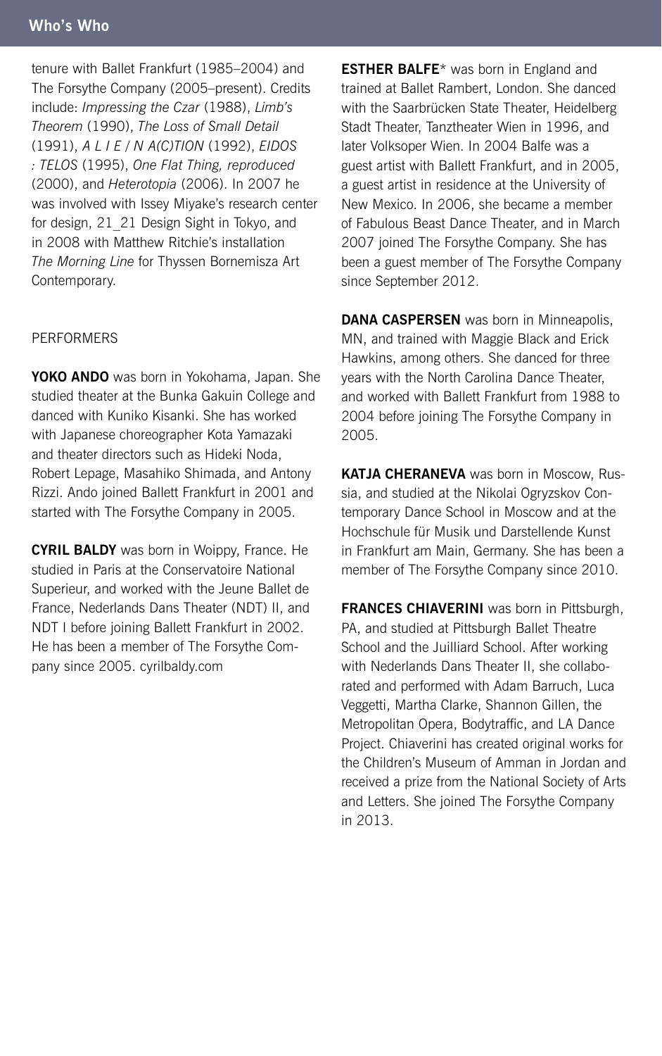tenure with Ballet Frankfurt (1985–2004) and The Forsythe Company (2005–present). Credits include: *Impressing the Czar* (1988), *Limb's Theorem* (1990), *The Loss of Small Detail*  (1991), *A L I E / N A(C)TION* (1992), *EIDOS : TELOS* (1995), *One Flat Thing, reproduced*  (2000), and *Heterotopia* (2006). In 2007 he was involved with Issey Miyake's research center for design, 21\_21 Design Sight in Tokyo, and in 2008 with Matthew Ritchie's installation *The Morning Line* for Thyssen Bornemisza Art Contemporary.

#### PERFORMERS

**Yoko Ando** was born in Yokohama, Japan. She studied theater at the Bunka Gakuin College and danced with Kuniko Kisanki. She has worked with Japanese choreographer Kota Yamazaki and theater directors such as Hideki Noda, Robert Lepage, Masahiko Shimada, and Antony Rizzi. Ando joined Ballett Frankfurt in 2001 and started with The Forsythe Company in 2005.

**CYRIL BALDY** was born in Woippy, France. He studied in Paris at the Conservatoire National Superieur, and worked with the Jeune Ballet de France, Nederlands Dans Theater (NDT) II, and NDT I before joining Ballett Frankfurt in 2002. He has been a member of The Forsythe Company since 2005. cyrilbaldy.com

**ESTHER BALFE**\* was born in England and trained at Ballet Rambert, London. She danced with the Saarbrücken State Theater, Heidelberg Stadt Theater, Tanztheater Wien in 1996, and later Volksoper Wien. In 2004 Balfe was a guest artist with Ballett Frankfurt, and in 2005, a guest artist in residence at the University of New Mexico. In 2006, she became a member of Fabulous Beast Dance Theater, and in March 2007 joined The Forsythe Company. She has been a guest member of The Forsythe Company since September 2012.

**Dana Caspersen** was born in Minneapolis, MN, and trained with Maggie Black and Erick Hawkins, among others. She danced for three years with the North Carolina Dance Theater, and worked with Ballett Frankfurt from 1988 to 2004 before joining The Forsythe Company in 2005.

**Katja Cheraneva** was born in Moscow, Russia, and studied at the Nikolai Ogryzskov Contemporary Dance School in Moscow and at the Hochschule für Musik und Darstellende Kunst in Frankfurt am Main, Germany. She has been a member of The Forsythe Company since 2010.

**Frances Chiaverini** was born in Pittsburgh, PA, and studied at Pittsburgh Ballet Theatre School and the Juilliard School. After working with Nederlands Dans Theater II, she collaborated and performed with Adam Barruch, Luca Veggetti, Martha Clarke, Shannon Gillen, the Metropolitan Opera, Bodytraffic, and LA Dance Project. Chiaverini has created original works for the Children's Museum of Amman in Jordan and received a prize from the National Society of Arts and Letters. She joined The Forsythe Company in 2013.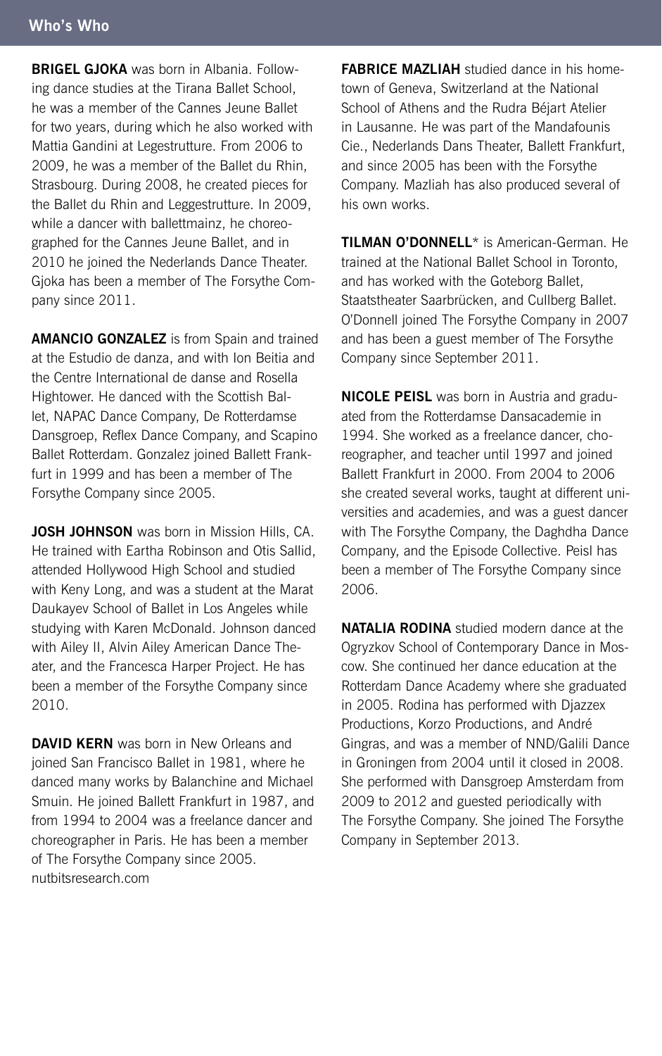**Brigel Gjoka** was born in Albania. Following dance studies at the Tirana Ballet School, he was a member of the Cannes Jeune Ballet for two years, during which he also worked with Mattia Gandini at Legestrutture. From 2006 to 2009, he was a member of the Ballet du Rhin, Strasbourg. During 2008, he created pieces for the Ballet du Rhin and Leggestrutture. In 2009, while a dancer with ballettmainz, he choreographed for the Cannes Jeune Ballet, and in 2010 he joined the Nederlands Dance Theater. Gjoka has been a member of The Forsythe Company since 2011.

**Amancio Gonzalez** is from Spain and trained at the Estudio de danza, and with Ion Beitia and the Centre International de danse and Rosella Hightower. He danced with the Scottish Ballet, NAPAC Dance Company, De Rotterdamse Dansgroep, Reflex Dance Company, and Scapino Ballet Rotterdam. Gonzalez joined Ballett Frankfurt in 1999 and has been a member of The Forsythe Company since 2005.

**JOSH JOHNSON** was born in Mission Hills, CA. He trained with Eartha Robinson and Otis Sallid, attended Hollywood High School and studied with Keny Long, and was a student at the Marat Daukayev School of Ballet in Los Angeles while studying with Karen McDonald. Johnson danced with Ailey II, Alvin Ailey American Dance Theater, and the Francesca Harper Project. He has been a member of the Forsythe Company since 2010.

**DAVID KERN** was born in New Orleans and joined San Francisco Ballet in 1981, where he danced many works by Balanchine and Michael Smuin. He joined Ballett Frankfurt in 1987, and from 1994 to 2004 was a freelance dancer and choreographer in Paris. He has been a member of The Forsythe Company since 2005. nutbitsresearch.com

**Fabrice Mazliah** studied dance in his hometown of Geneva, Switzerland at the National School of Athens and the Rudra Béjart Atelier in Lausanne. He was part of the Mandafounis Cie., Nederlands Dans Theater, Ballett Frankfurt, and since 2005 has been with the Forsythe Company. Mazliah has also produced several of his own works.

**Tilman O'Donnell**\* is American-German. He trained at the National Ballet School in Toronto, and has worked with the Goteborg Ballet, Staatstheater Saarbrücken, and Cullberg Ballet. O'Donnell joined The Forsythe Company in 2007 and has been a guest member of The Forsythe Company since September 2011.

**Nicole Peisl** was born in Austria and graduated from the Rotterdamse Dansacademie in 1994. She worked as a freelance dancer, choreographer, and teacher until 1997 and joined Ballett Frankfurt in 2000. From 2004 to 2006 she created several works, taught at different universities and academies, and was a guest dancer with The Forsythe Company, the Daghdha Dance Company, and the Episode Collective. Peisl has been a member of The Forsythe Company since 2006.

**Natalia Rodina** studied modern dance at the Ogryzkov School of Contemporary Dance in Moscow. She continued her dance education at the Rotterdam Dance Academy where she graduated in 2005. Rodina has performed with Djazzex Productions, Korzo Productions, and André Gingras, and was a member of NND/Galili Dance in Groningen from 2004 until it closed in 2008. She performed with Dansgroep Amsterdam from 2009 to 2012 and guested periodically with The Forsythe Company. She joined The Forsythe Company in September 2013.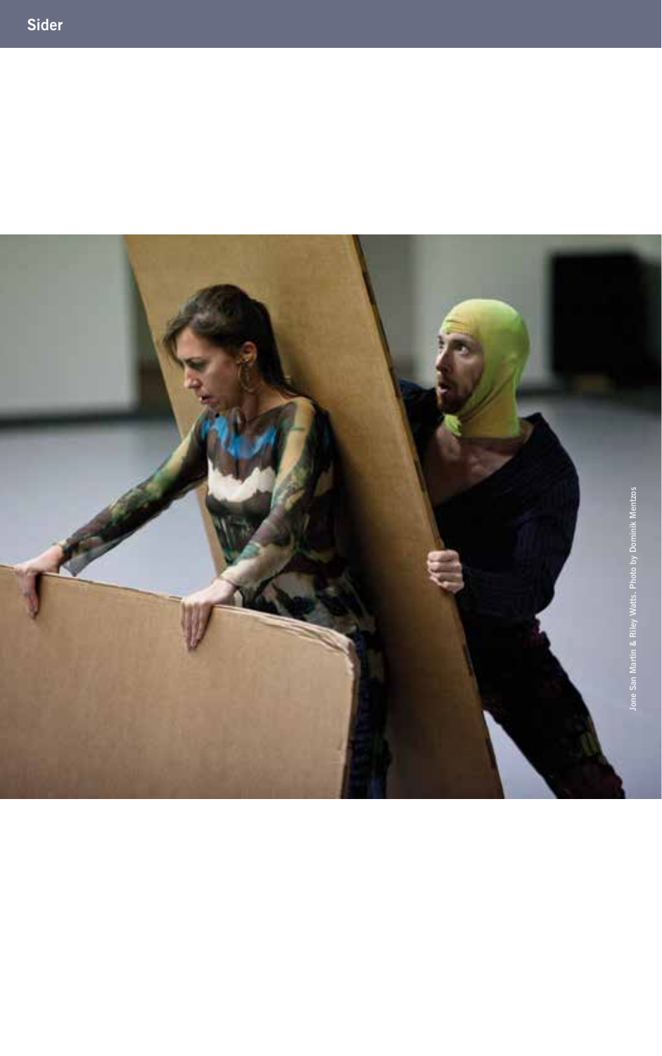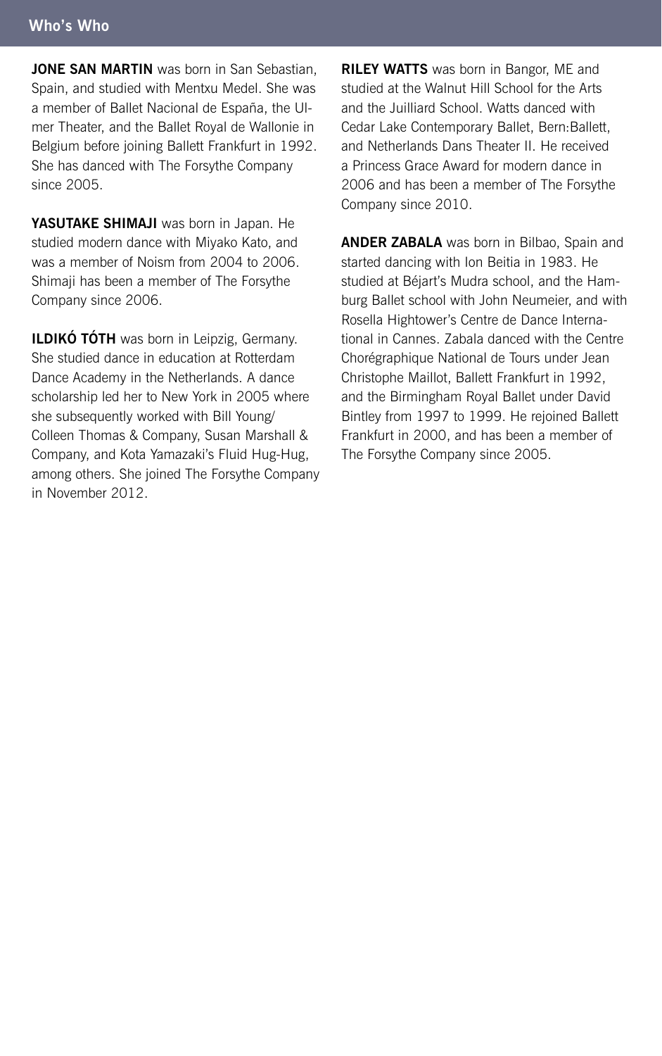**JONE SAN MARTIN** was born in San Sebastian, Spain, and studied with Mentxu Medel. She was a member of Ballet Nacional de España, the Ulmer Theater, and the Ballet Royal de Wallonie in Belgium before joining Ballett Frankfurt in 1992. She has danced with The Forsythe Company since 2005.

**Yasutake Shimaji** was born in Japan. He studied modern dance with Miyako Kato, and was a member of Noism from 2004 to 2006. Shimaji has been a member of The Forsythe Company since 2006.

**ILDIKÓ TÓTH** was born in Leipzig, Germany. She studied dance in education at Rotterdam Dance Academy in the Netherlands. A dance scholarship led her to New York in 2005 where she subsequently worked with Bill Young/ Colleen Thomas & Company, Susan Marshall & Company, and Kota Yamazaki's Fluid Hug-Hug, among others. She joined The Forsythe Company in November 2012.

**RILEY WATTS** was born in Bangor, ME and studied at the Walnut Hill School for the Arts and the Juilliard School. Watts danced with Cedar Lake Contemporary Ballet, Bern:Ballett, and Netherlands Dans Theater II. He received a Princess Grace Award for modern dance in 2006 and has been a member of The Forsythe Company since 2010.

**ANDER ZABALA** was born in Bilbao, Spain and started dancing with Ion Beitia in 1983. He studied at Béjart's Mudra school, and the Hamburg Ballet school with John Neumeier, and with Rosella Hightower's Centre de Dance International in Cannes. Zabala danced with the Centre Chorégraphique National de Tours under Jean Christophe Maillot, Ballett Frankfurt in 1992, and the Birmingham Royal Ballet under David Bintley from 1997 to 1999. He rejoined Ballett Frankfurt in 2000, and has been a member of The Forsythe Company since 2005.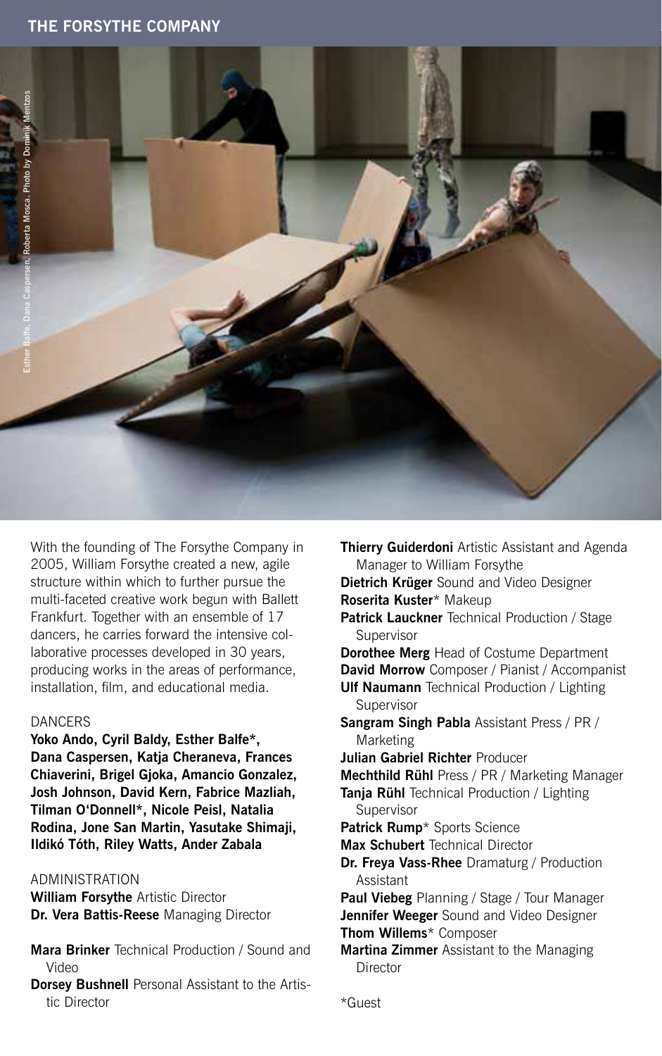

With the founding of The Forsythe Company in 2005, William Forsythe created a new, agile structure within which to further pursue the multi-faceted creative work begun with Ballett Frankfurt. Together with an ensemble of 17 dancers, he carries forward the intensive collaborative processes developed in 30 years, producing works in the areas of performance, installation, film, and educational media.

#### **DANCERS**

**Yoko Ando, Cyril Baldy, Esther Balfe\*, Dana Caspersen, Katja Cheraneva, Frances Chiaverini, Brigel Gjoka, Amancio Gonzalez, Josh Johnson, David Kern, Fabrice Mazliah, Tilman O'Donnell\*, Nicole Peisl, Natalia Rodina, Jone San Martin, Yasutake Shimaji, Ildikó Tóth, Riley Watts, Ander Zabala**

#### Administration

**William Forsythe** Artistic Director **Dr. Vera Battis-Reese** Managing Director

- **Mara Brinker** Technical Production / Sound and Video
- **Dorsey Bushnell** Personal Assistant to the Artistic Director

**Thierry Guiderdoni** Artistic Assistant and Agenda Manager to William Forsythe **Dietrich Krüger** Sound and Video Designer **Roserita Kuster**\* Makeup **Patrick Lauckner** Technical Production / Stage Supervisor **Dorothee Merg** Head of Costume Department **David Morrow** Composer / Pianist / Accompanist **Ulf Naumann** Technical Production / Lighting Supervisor **Sangram Singh Pabla** Assistant Press / PR / Marketing **Julian Gabriel Richter** Producer **Mechthild Rühl** Press / PR / Marketing Manager **Tanja Rühl** Technical Production / Lighting Supervisor **Patrick Rump**\* Sports Science **Max Schubert** Technical Director **Dr. Freya Vass-Rhee** Dramaturg / Production Assistant **Paul Viebeg** Planning / Stage / Tour Manager **Jennifer Weeger** Sound and Video Designer **Thom Willems**\* Composer **Martina Zimmer** Assistant to the Managing **Director**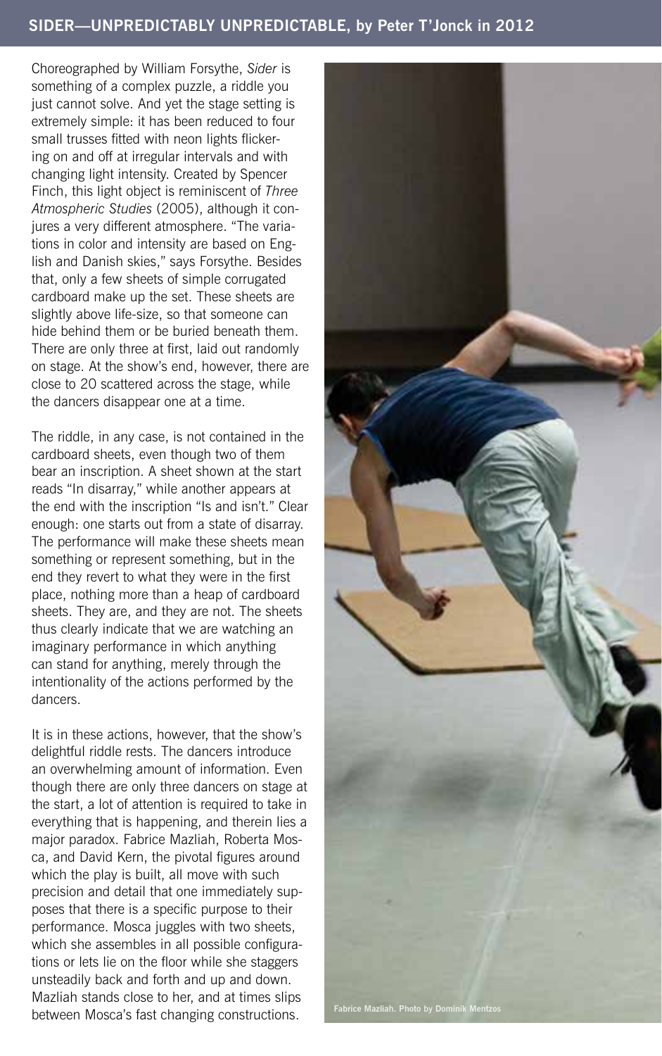## **SIDER—UNPREDICTABLY UNPREDICTABLE, by Peter T'Jonck in 2012**

Choreographed by William Forsythe, *Sider* is something of a complex puzzle, a riddle you just cannot solve. And yet the stage setting is extremely simple: it has been reduced to four small trusses fitted with neon lights flickering on and off at irregular intervals and with changing light intensity. Created by Spencer Finch, this light object is reminiscent of *Three Atmospheric Studies* (2005), although it conjures a very different atmosphere. "The variations in color and intensity are based on English and Danish skies," says Forsythe. Besides that, only a few sheets of simple corrugated cardboard make up the set. These sheets are slightly above life-size, so that someone can hide behind them or be buried beneath them. There are only three at first, laid out randomly on stage. At the show's end, however, there are close to 20 scattered across the stage, while the dancers disappear one at a time.

The riddle, in any case, is not contained in the cardboard sheets, even though two of them bear an inscription. A sheet shown at the start reads "In disarray," while another appears at the end with the inscription "Is and isn't." Clear enough: one starts out from a state of disarray. The performance will make these sheets mean something or represent something, but in the end they revert to what they were in the first place, nothing more than a heap of cardboard sheets. They are, and they are not. The sheets thus clearly indicate that we are watching an imaginary performance in which anything can stand for anything, merely through the intentionality of the actions performed by the dancers.

It is in these actions, however, that the show's delightful riddle rests. The dancers introduce an overwhelming amount of information. Even though there are only three dancers on stage at the start, a lot of attention is required to take in everything that is happening, and therein lies a major paradox. Fabrice Mazliah, Roberta Mosca, and David Kern, the pivotal figures around which the play is built, all move with such precision and detail that one immediately supposes that there is a specific purpose to their performance. Mosca juggles with two sheets, which she assembles in all possible configurations or lets lie on the floor while she staggers unsteadily back and forth and up and down. Mazliah stands close to her, and at times slips between Mosca's fast changing constructions. **Fabrice Mazliah. Photo by Dominik Mentzos**

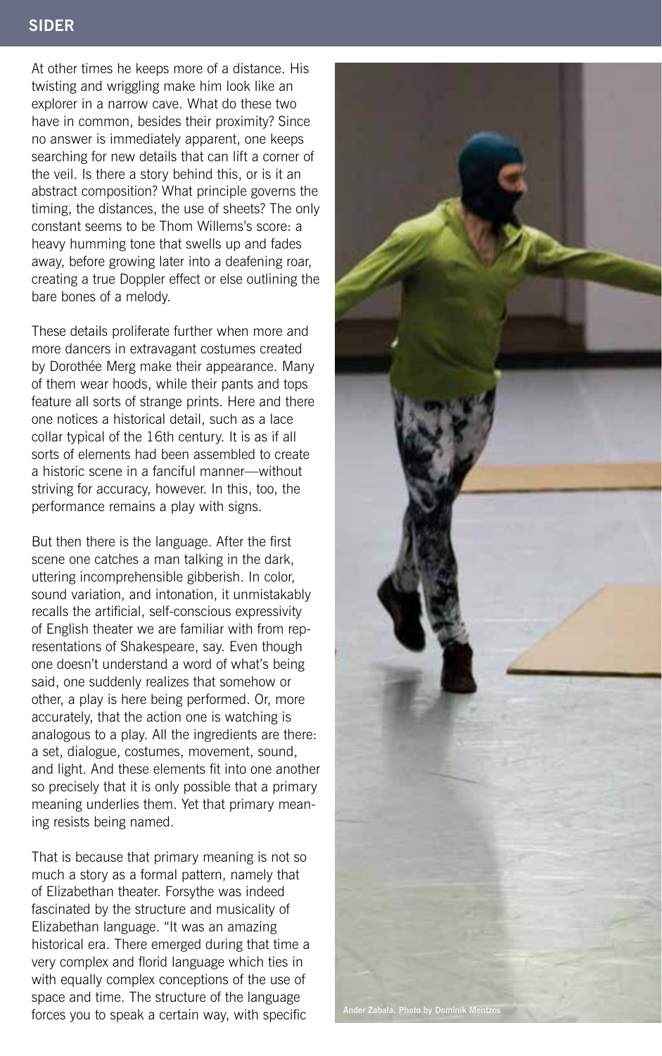# **SIDER**

At other times he keeps more of a distance. His twisting and wriggling make him look like an explorer in a narrow cave. What do these two have in common, besides their proximity? Since no answer is immediately apparent, one keeps searching for new details that can lift a corner of the veil. Is there a story behind this, or is it an abstract composition? What principle governs the timing, the distances, the use of sheets? The only constant seems to be Thom Willems's score: a heavy humming tone that swells up and fades away, before growing later into a deafening roar, creating a true Doppler effect or else outlining the bare bones of a melody.

These details proliferate further when more and more dancers in extravagant costumes created by Dorothée Merg make their appearance. Many of them wear hoods, while their pants and tops feature all sorts of strange prints. Here and there one notices a historical detail, such as a lace collar typical of the 16th century. It is as if all sorts of elements had been assembled to create a historic scene in a fanciful manner—without striving for accuracy, however. In this, too, the performance remains a play with signs.

But then there is the language. After the first scene one catches a man talking in the dark, uttering incomprehensible gibberish. In color, sound variation, and intonation, it unmistakably recalls the artificial, self-conscious expressivity of English theater we are familiar with from representations of Shakespeare, say. Even though one doesn't understand a word of what's being said, one suddenly realizes that somehow or other, a play is here being performed. Or, more accurately, that the action one is watching is analogous to a play. All the ingredients are there: a set, dialogue, costumes, movement, sound, and light. And these elements fit into one another so precisely that it is only possible that a primary meaning underlies them. Yet that primary meaning resists being named.

That is because that primary meaning is not so much a story as a formal pattern, namely that of Elizabethan theater. Forsythe was indeed fascinated by the structure and musicality of Elizabethan language. "It was an amazing historical era. There emerged during that time a very complex and florid language which ties in with equally complex conceptions of the use of space and time. The structure of the language forces you to speak a certain way, with specific **Ander Zabala. Photo by Dominik M**